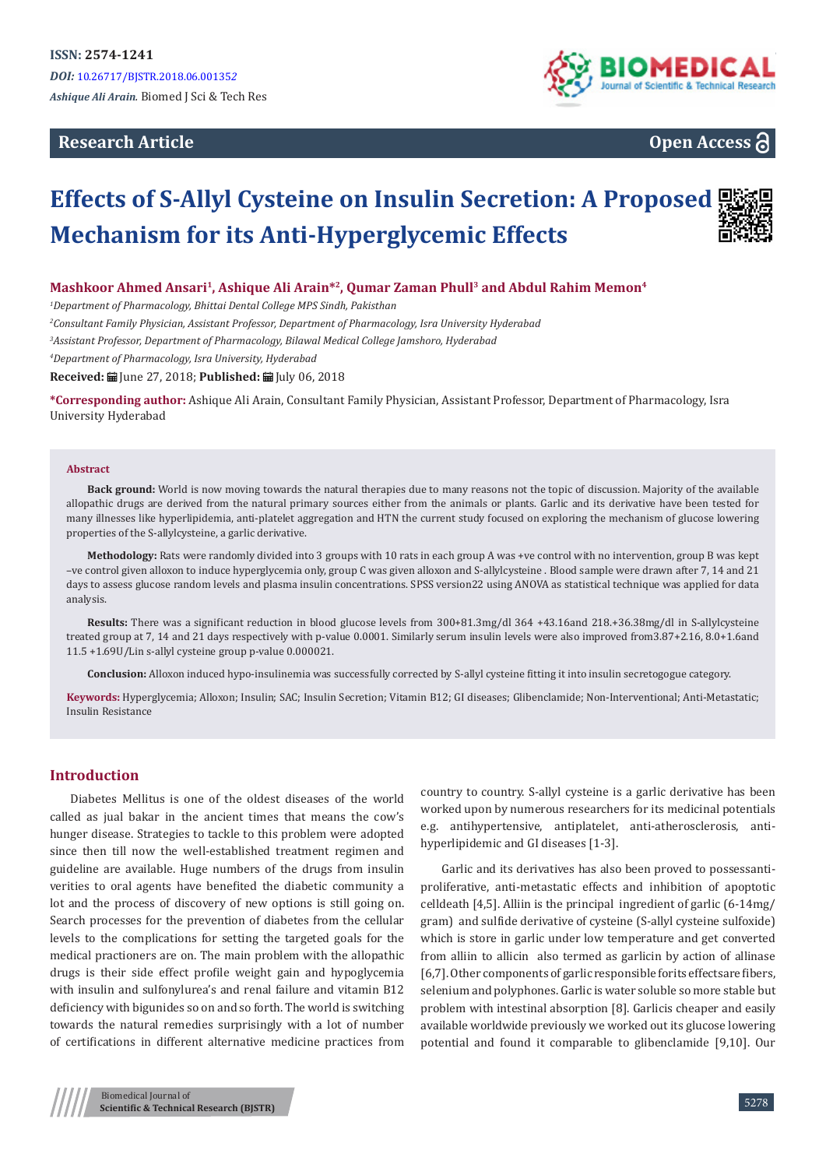**Research Article**



**Open Access**

# **Effects of S-Allyl Cysteine on Insulin Secretion: A Proposed Mechanism for its Anti-Hyperglycemic Effects**



#### **Mashkoor Ahmed Ansari1, Ashique Ali Arain\*2, Qumar Zaman Phull3 and Abdul Rahim Memon4**

*1 Department of Pharmacology, Bhittai Dental College MPS Sindh, Pakisthan*

*2 Consultant Family Physician, Assistant Professor, Department of Pharmacology, Isra University Hyderabad*

*3 Assistant Professor, Department of Pharmacology, Bilawal Medical College Jamshoro, Hyderabad*

*4 Department of Pharmacology, Isra University, Hyderabad*

Received: **自** June 27, 2018; Published: 自 July 06, 2018

**\*Corresponding author:** Ashique Ali Arain, Consultant Family Physician, Assistant Professor, Department of Pharmacology, Isra University Hyderabad

#### **Abstract**

**Back ground:** World is now moving towards the natural therapies due to many reasons not the topic of discussion. Majority of the available allopathic drugs are derived from the natural primary sources either from the animals or plants. Garlic and its derivative have been tested for many illnesses like hyperlipidemia, anti-platelet aggregation and HTN the current study focused on exploring the mechanism of glucose lowering properties of the S-allylcysteine, a garlic derivative.

**Methodology:** Rats were randomly divided into 3 groups with 10 rats in each group A was +ve control with no intervention, group B was kept –ve control given alloxon to induce hyperglycemia only, group C was given alloxon and S-allylcysteine . Blood sample were drawn after 7, 14 and 21 days to assess glucose random levels and plasma insulin concentrations. SPSS version22 using ANOVA as statistical technique was applied for data analysis.

**Results:** There was a significant reduction in blood glucose levels from 300+81.3mg/dl 364 +43.16and 218.+36.38mg/dl in S-allylcysteine treated group at 7, 14 and 21 days respectively with p-value 0.0001. Similarly serum insulin levels were also improved from3.87+2.16, 8.0+1.6and 11.5 +1.69U/Lin s-allyl cysteine group p-value 0.000021.

**Conclusion:** Alloxon induced hypo-insulinemia was successfully corrected by S-allyl cysteine fitting it into insulin secretogogue category.

**Keywords:** Hyperglycemia; Alloxon; Insulin; SAC; Insulin Secretion; Vitamin B12; GI diseases; Glibenclamide; Non-Interventional; Anti-Metastatic; Insulin Resistance

#### **Introduction**

Diabetes Mellitus is one of the oldest diseases of the world called as jual bakar in the ancient times that means the cow's hunger disease. Strategies to tackle to this problem were adopted since then till now the well-established treatment regimen and guideline are available. Huge numbers of the drugs from insulin verities to oral agents have benefited the diabetic community a lot and the process of discovery of new options is still going on. Search processes for the prevention of diabetes from the cellular levels to the complications for setting the targeted goals for the medical practioners are on. The main problem with the allopathic drugs is their side effect profile weight gain and hypoglycemia with insulin and sulfonylurea's and renal failure and vitamin B12 deficiency with bigunides so on and so forth. The world is switching towards the natural remedies surprisingly with a lot of number of certifications in different alternative medicine practices from country to country. S-allyl cysteine is a garlic derivative has been worked upon by numerous researchers for its medicinal potentials e.g. antihypertensive, antiplatelet, anti-atherosclerosis, antihyperlipidemic and GI diseases [1-3].

Garlic and its derivatives has also been proved to possessantiproliferative, anti-metastatic effects and inhibition of apoptotic celldeath [4,5]. Alliin is the principal ingredient of garlic (6-14mg/ gram) and sulfide derivative of cysteine (S-allyl cysteine sulfoxide) which is store in garlic under low temperature and get converted from alliin to allicin also termed as garlicin by action of allinase [6,7]. Other components of garlic responsible forits effectsare fibers, selenium and polyphones. Garlic is water soluble so more stable but problem with intestinal absorption [8]. Garlicis cheaper and easily available worldwide previously we worked out its glucose lowering potential and found it comparable to glibenclamide [9,10]. Our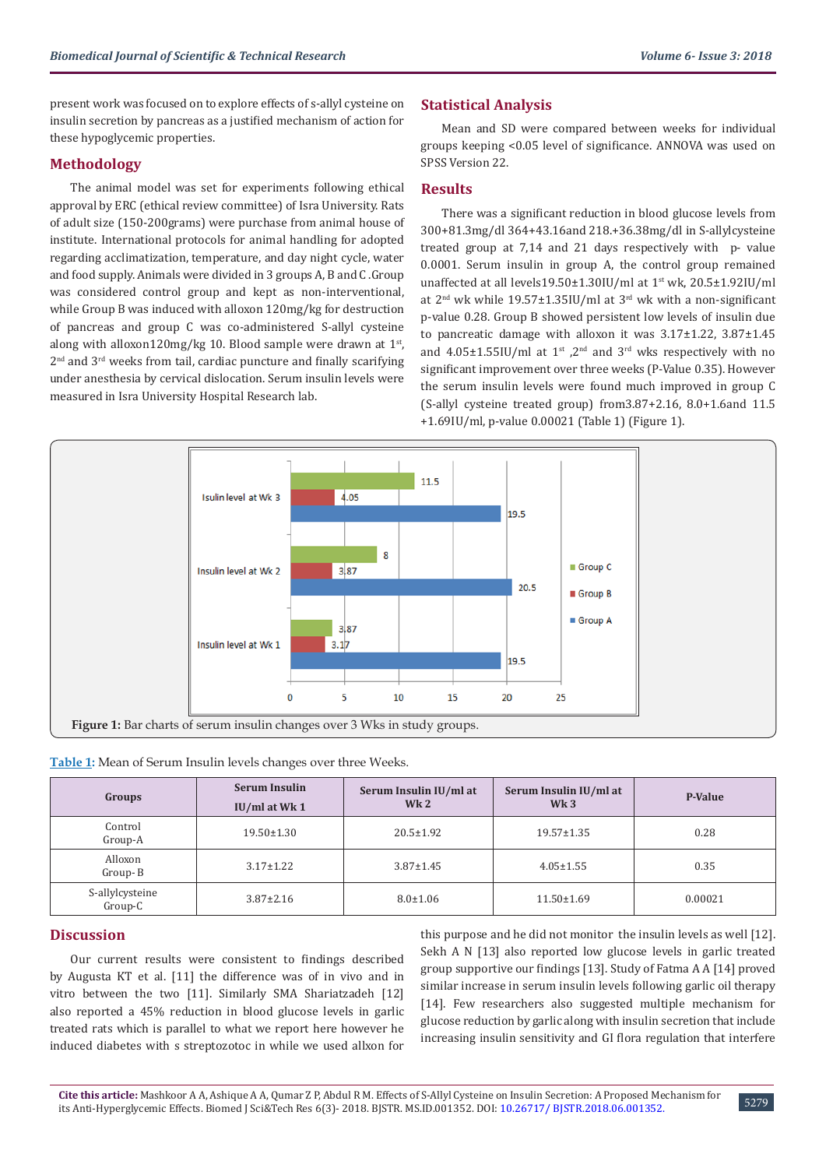present work was focused on to explore effects of s-allyl cysteine on insulin secretion by pancreas as a justified mechanism of action for these hypoglycemic properties.

#### **Methodology**

The animal model was set for experiments following ethical approval by ERC (ethical review committee) of Isra University. Rats of adult size (150-200grams) were purchase from animal house of institute. International protocols for animal handling for adopted regarding acclimatization, temperature, and day night cycle, water and food supply. Animals were divided in 3 groups A, B and C .Group was considered control group and kept as non-interventional, while Group B was induced with alloxon 120mg/kg for destruction of pancreas and group C was co-administered S-allyl cysteine along with alloxon120mg/kg 10. Blood sample were drawn at 1<sup>st</sup>,  $2<sup>nd</sup>$  and  $3<sup>rd</sup>$  weeks from tail, cardiac puncture and finally scarifying under anesthesia by cervical dislocation. Serum insulin levels were measured in Isra University Hospital Research lab.

## **Statistical Analysis**

Mean and SD were compared between weeks for individual groups keeping <0.05 level of significance. ANNOVA was used on SPSS Version 22.

### **Results**

There was a significant reduction in blood glucose levels from 300+81.3mg/dl 364+43.16and 218.+36.38mg/dl in S-allylcysteine treated group at 7,14 and 21 days respectively with p- value 0.0001. Serum insulin in group A, the control group remained unaffected at all levels19.50±1.30IU/ml at 1st wk, 20.5±1.92IU/ml at  $2<sup>nd</sup>$  wk while 19.57 $\pm$ 1.35IU/ml at 3<sup>rd</sup> wk with a non-significant p-value 0.28. Group B showed persistent low levels of insulin due to pancreatic damage with alloxon it was 3.17±1.22, 3.87±1.45 and  $4.05\pm1.55$ IU/ml at  $1^{st}$ ,  $2^{nd}$  and  $3^{rd}$  wks respectively with no significant improvement over three weeks (P-Value 0.35). However the serum insulin levels were found much improved in group C (S-allyl cysteine treated group) from3.87+2.16, 8.0+1.6and 11.5 +1.69IU/ml, p-value 0.00021 (Table 1) (Figure 1).



**Table 1:** Mean of Serum Insulin levels changes over three Weeks.

| Groups                     | <b>Serum Insulin</b><br>$IU/ml$ at Wk 1 | Serum Insulin IU/ml at<br>Wk <sub>2</sub> | Serum Insulin IU/ml at<br>Wk <sub>3</sub> | P-Value |
|----------------------------|-----------------------------------------|-------------------------------------------|-------------------------------------------|---------|
| Control<br>Group-A         | $19.50 \pm 1.30$                        | $20.5 \pm 1.92$                           | $19.57 \pm 1.35$                          | 0.28    |
| Alloxon<br>Group-B         | $3.17 \pm 1.22$                         | $3.87 \pm 1.45$                           | $4.05 \pm 1.55$                           | 0.35    |
| S-allylcysteine<br>Group-C | $3.87 \pm 2.16$                         | $8.0 \pm 1.06$                            | $11.50 \pm 1.69$                          | 0.00021 |

#### **Discussion**

Our current results were consistent to findings described by Augusta KT et al. [11] the difference was of in vivo and in vitro between the two [11]. Similarly SMA Shariatzadeh [12] also reported a 45% reduction in blood glucose levels in garlic treated rats which is parallel to what we report here however he induced diabetes with s streptozotoc in while we used allxon for

this purpose and he did not monitor the insulin levels as well [12]. Sekh A N [13] also reported low glucose levels in garlic treated group supportive our findings [13]. Study of Fatma A A [14] proved similar increase in serum insulin levels following garlic oil therapy [14]. Few researchers also suggested multiple mechanism for glucose reduction by garlic along with insulin secretion that include increasing insulin sensitivity and GI flora regulation that interfere